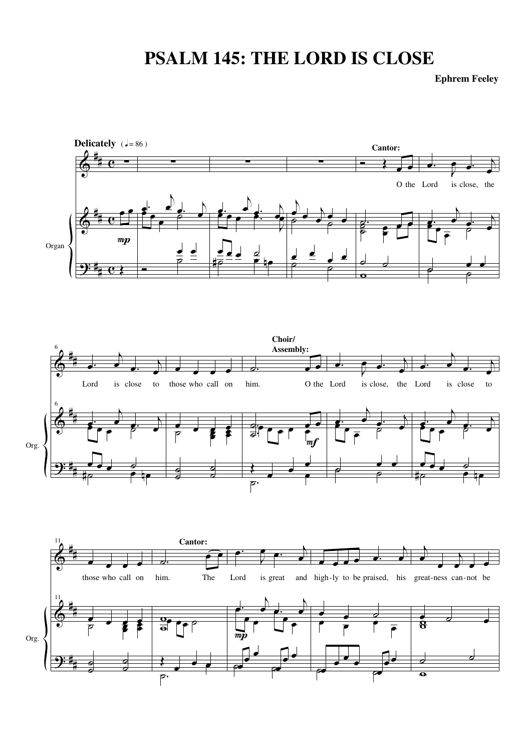## **PSALM 145: THE LORD IS CLOSE**

**Ephrem Feeley**